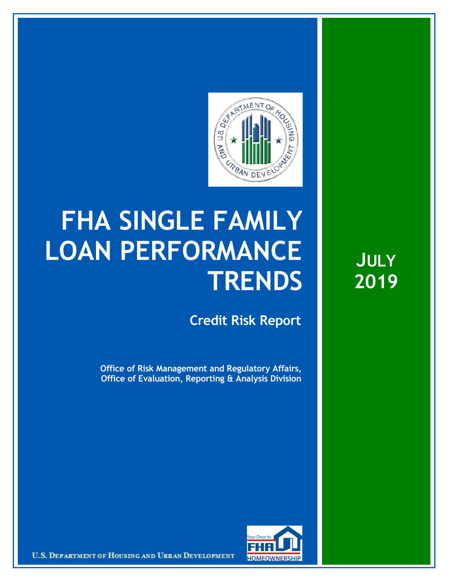

## **FHA SINGLE FAMILY LOAN PERFORMANCE TRENDS**

**Credit Risk Report**

**Office of Risk Management and Regulatory Affairs, Office of Evaluation, Reporting & Analysis Division**

**JULY 2019**



U.S. DEPARTMENT OF HOUSING AND URBAN DEVELOPMENT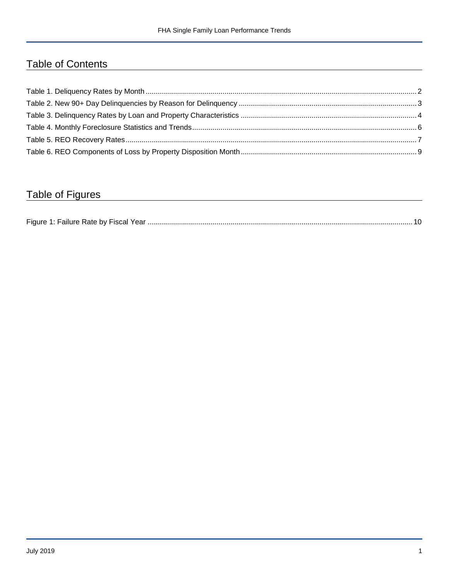## Table of Contents

## Table of Figures

| Figure 1 |  |
|----------|--|
|----------|--|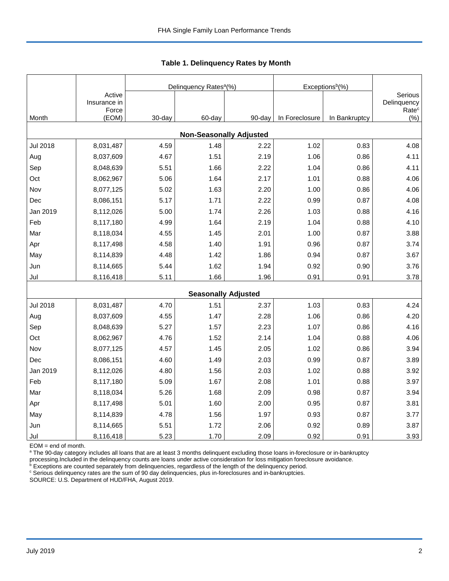|                 |                                 |        | Delinquency Rates <sup>a</sup> (%) |        | Exceptions <sup>b</sup> (%) |               |                                             |
|-----------------|---------------------------------|--------|------------------------------------|--------|-----------------------------|---------------|---------------------------------------------|
|                 | Active<br>Insurance in<br>Force |        |                                    |        |                             |               | Serious<br>Delinquency<br>Rate <sup>c</sup> |
| Month           | (EOM)                           | 30-day | 60-day                             | 90-day | In Foreclosure              | In Bankruptcy | (%)                                         |
|                 |                                 |        | <b>Non-Seasonally Adjusted</b>     |        |                             |               |                                             |
| <b>Jul 2018</b> | 8,031,487                       | 4.59   | 1.48                               | 2.22   | 1.02                        | 0.83          | 4.08                                        |
| Aug             | 8,037,609                       | 4.67   | 1.51                               | 2.19   | 1.06                        | 0.86          | 4.11                                        |
| Sep             | 8,048,639                       | 5.51   | 1.66                               | 2.22   | 1.04                        | 0.86          | 4.11                                        |
| Oct             | 8,062,967                       | 5.06   | 1.64                               | 2.17   | 1.01                        | 0.88          | 4.06                                        |
| Nov             | 8,077,125                       | 5.02   | 1.63                               | 2.20   | 1.00                        | 0.86          | 4.06                                        |
| Dec             | 8,086,151                       | 5.17   | 1.71                               | 2.22   | 0.99                        | 0.87          | 4.08                                        |
| Jan 2019        | 8,112,026                       | 5.00   | 1.74                               | 2.26   | 1.03                        | 0.88          | 4.16                                        |
| Feb             | 8,117,180                       | 4.99   | 1.64                               | 2.19   | 1.04                        | 0.88          | 4.10                                        |
| Mar             | 8,118,034                       | 4.55   | 1.45                               | 2.01   | 1.00                        | 0.87          | 3.88                                        |
| Apr             | 8,117,498                       | 4.58   | 1.40                               | 1.91   | 0.96                        | 0.87          | 3.74                                        |
| May             | 8,114,839                       | 4.48   | 1.42                               | 1.86   | 0.94                        | 0.87          | 3.67                                        |
| Jun             | 8,114,665                       | 5.44   | 1.62                               | 1.94   | 0.92                        | 0.90          | 3.76                                        |
| Jul             | 8,116,418                       | 5.11   | 1.66                               | 1.96   | 0.91                        | 0.91          | 3.78                                        |
|                 |                                 |        | <b>Seasonally Adjusted</b>         |        |                             |               |                                             |
| <b>Jul 2018</b> | 8,031,487                       | 4.70   | 1.51                               | 2.37   | 1.03                        | 0.83          | 4.24                                        |
| Aug             | 8,037,609                       | 4.55   | 1.47                               | 2.28   | 1.06                        | 0.86          | 4.20                                        |
| Sep             | 8,048,639                       | 5.27   | 1.57                               | 2.23   | 1.07                        | 0.86          | 4.16                                        |
| Oct             | 8,062,967                       | 4.76   | 1.52                               | 2.14   | 1.04                        | 0.88          | 4.06                                        |
| Nov             | 8,077,125                       | 4.57   | 1.45                               | 2.05   | 1.02                        | 0.86          | 3.94                                        |
| Dec             | 8,086,151                       | 4.60   | 1.49                               | 2.03   | 0.99                        | 0.87          | 3.89                                        |
| Jan 2019        | 8,112,026                       | 4.80   | 1.56                               | 2.03   | 1.02                        | 0.88          | 3.92                                        |
| Feb             | 8,117,180                       | 5.09   | 1.67                               | 2.08   | 1.01                        | 0.88          | 3.97                                        |
| Mar             | 8,118,034                       | 5.26   | 1.68                               | 2.09   | 0.98                        | 0.87          | 3.94                                        |
| Apr             | 8,117,498                       | 5.01   | 1.60                               | 2.00   | 0.95                        | 0.87          | 3.81                                        |
| May             | 8,114,839                       | 4.78   | 1.56                               | 1.97   | 0.93                        | 0.87          | 3.77                                        |
| Jun             | 8,114,665                       | 5.51   | 1.72                               | 2.06   | 0.92                        | 0.89          | 3.87                                        |
| Jul             | 8,116,418                       | 5.23   | 1.70                               | 2.09   | 0.92                        | 0.91          | 3.93                                        |

 **Table 1. Delinquency Rates by Month**

EOM = end of month.

<sup>a</sup> The 90-day category includes all loans that are at least 3 months delinquent excluding those loans in-foreclosure or in-bankruptcy

processing.Included in the delinquency counts are loans under active consideration for loss mitigation foreclosure avoidance.<br><sup>b</sup> Exceptions are counted separately from delinquencies, regardless of the length of the delinq

<sup>c</sup> Serious delinquency rates are the sum of 90 day delinquencies, plus in-foreclosures and in-bankruptcies.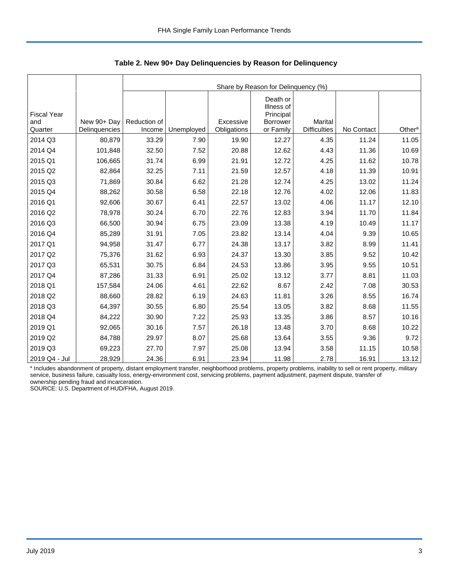|                                      |               | Share by Reason for Delinquency (%) |            |                          |                                                                     |                                       |            |                    |  |  |  |
|--------------------------------------|---------------|-------------------------------------|------------|--------------------------|---------------------------------------------------------------------|---------------------------------------|------------|--------------------|--|--|--|
| <b>Fiscal Year</b><br>and<br>Quarter | New 90+ Day   | Reduction of<br>Income              |            | Excessive<br>Obligations | Death or<br>Illness of<br>Principal<br><b>Borrower</b><br>or Family | <b>Marital</b><br><b>Difficulties</b> | No Contact | Other <sup>a</sup> |  |  |  |
|                                      | Delinquencies |                                     | Unemployed |                          |                                                                     |                                       |            |                    |  |  |  |
| 2014 Q3                              | 80,879        | 33.29                               | 7.90       | 19.90                    | 12.27                                                               | 4.35                                  | 11.24      | 11.05              |  |  |  |
| 2014 Q4                              | 101,848       | 32.50                               | 7.52       | 20.88                    | 12.62                                                               | 4.43                                  | 11.36      | 10.69              |  |  |  |
| 2015 Q1                              | 106,665       | 31.74                               | 6.99       | 21.91                    | 12.72                                                               | 4.25                                  | 11.62      | 10.78              |  |  |  |
| 2015 Q2                              | 82,864        | 32.25                               | 7.11       | 21.59                    | 12.57                                                               | 4.18                                  | 11.39      | 10.91              |  |  |  |
| 2015 Q3                              | 71,869        | 30.84                               | 6.62       | 21.28                    | 12.74                                                               | 4.25                                  | 13.02      | 11.24              |  |  |  |
| 2015 Q4                              | 88,262        | 30.58                               | 6.58       | 22.18                    | 12.76                                                               | 4.02                                  | 12.06      | 11.83              |  |  |  |
| 2016 Q1                              | 92,606        | 30.67                               | 6.41       | 22.57                    | 13.02                                                               | 4.06                                  | 11.17      | 12.10              |  |  |  |
| 2016 Q2                              | 78,978        | 30.24                               | 6.70       | 22.76                    | 12.83                                                               | 3.94                                  | 11.70      | 11.84              |  |  |  |
| 2016 Q3                              | 66,500        | 30.94                               | 6.75       | 23.09                    | 13.38                                                               | 4.19                                  | 10.49      | 11.17              |  |  |  |
| 2016 Q4                              | 85,289        | 31.91                               | 7.05       | 23.82                    | 13.14                                                               | 4.04                                  | 9.39       | 10.65              |  |  |  |
| 2017 Q1                              | 94,958        | 31.47                               | 6.77       | 24.38                    | 13.17                                                               | 3.82                                  | 8.99       | 11.41              |  |  |  |
| 2017 Q2                              | 75,376        | 31.62                               | 6.93       | 24.37                    | 13.30                                                               | 3.85                                  | 9.52       | 10.42              |  |  |  |
| 2017 Q3                              | 65,531        | 30.75                               | 6.84       | 24.53                    | 13.86                                                               | 3.95                                  | 9.55       | 10.51              |  |  |  |
| 2017 Q4                              | 87,286        | 31.33                               | 6.91       | 25.02                    | 13.12                                                               | 3.77                                  | 8.81       | 11.03              |  |  |  |
| 2018 Q1                              | 157,584       | 24.06                               | 4.61       | 22.62                    | 8.67                                                                | 2.42                                  | 7.08       | 30.53              |  |  |  |
| 2018 Q2                              | 88,660        | 28.82                               | 6.19       | 24.63                    | 11.81                                                               | 3.26                                  | 8.55       | 16.74              |  |  |  |
| 2018 Q3                              | 64,397        | 30.55                               | 6.80       | 25.54                    | 13.05                                                               | 3.82                                  | 8.68       | 11.55              |  |  |  |
| 2018 Q4                              | 84,222        | 30.90                               | 7.22       | 25.93                    | 13.35                                                               | 3.86                                  | 8.57       | 10.16              |  |  |  |
| 2019 Q1                              | 92,065        | 30.16                               | 7.57       | 26.18                    | 13.48                                                               | 3.70                                  | 8.68       | 10.22              |  |  |  |
| 2019 Q2                              | 84,788        | 29.97                               | 8.07       | 25.68                    | 13.64                                                               | 3.55                                  | 9.36       | 9.72               |  |  |  |
| 2019 Q3                              | 69,223        | 27.70                               | 7.97       | 25.08                    | 13.94                                                               | 3.58                                  | 11.15      | 10.58              |  |  |  |
| 2019 Q4 - Jul                        | 28,929        | 24.36                               | 6.91       | 23.94                    | 11.98                                                               | 2.78                                  | 16.91      | 13.12              |  |  |  |

 **Table 2. New 90+ Day Delinquencies by Reason for Delinquency**

a Includes abandonment of property, distant employment transfer, neighborhood problems, property problems, inability to sell or rent property, military service, business failure, casualty loss, energy-environment cost, servicing problems, payment adjustment, payment dispute, transfer of ownership pending fraud and incarceration.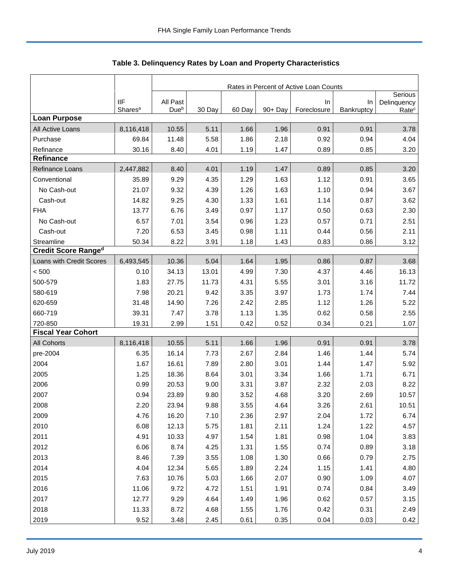|                            |                     | Rates in Percent of Active Loan Counts |        |        |            |             |            |                        |  |
|----------------------------|---------------------|----------------------------------------|--------|--------|------------|-------------|------------|------------------------|--|
|                            | <b>IIF</b>          | All Past                               |        |        |            | In          | In         | Serious<br>Delinquency |  |
|                            | Shares <sup>a</sup> | Due <sup>b</sup>                       | 30 Day | 60 Day | $90 + Day$ | Foreclosure | Bankruptcy | Rate <sup>c</sup>      |  |
| <b>Loan Purpose</b>        |                     |                                        |        |        |            |             |            |                        |  |
| All Active Loans           | 8,116,418           | 10.55                                  | 5.11   | 1.66   | 1.96       | 0.91        | 0.91       | 3.78                   |  |
| Purchase                   | 69.84               | 11.48                                  | 5.58   | 1.86   | 2.18       | 0.92        | 0.94       | 4.04                   |  |
| Refinance                  | 30.16               | 8.40                                   | 4.01   | 1.19   | 1.47       | 0.89        | 0.85       | 3.20                   |  |
| <b>Refinance</b>           |                     |                                        |        |        |            |             |            |                        |  |
| Refinance Loans            | 2,447,882           | 8.40                                   | 4.01   | 1.19   | 1.47       | 0.89        | 0.85       | 3.20                   |  |
| Conventional               | 35.89               | 9.29                                   | 4.35   | 1.29   | 1.63       | 1.12        | 0.91       | 3.65                   |  |
| No Cash-out                | 21.07               | 9.32                                   | 4.39   | 1.26   | 1.63       | 1.10        | 0.94       | 3.67                   |  |
| Cash-out                   | 14.82               | 9.25                                   | 4.30   | 1.33   | 1.61       | 1.14        | 0.87       | 3.62                   |  |
| <b>FHA</b>                 | 13.77               | 6.76                                   | 3.49   | 0.97   | 1.17       | 0.50        | 0.63       | 2.30                   |  |
| No Cash-out                | 6.57                | 7.01                                   | 3.54   | 0.96   | 1.23       | 0.57        | 0.71       | 2.51                   |  |
| Cash-out                   | 7.20                | 6.53                                   | 3.45   | 0.98   | 1.11       | 0.44        | 0.56       | 2.11                   |  |
| Streamline                 | 50.34               | 8.22                                   | 3.91   | 1.18   | 1.43       | 0.83        | 0.86       | 3.12                   |  |
| <b>Credit Score Ranged</b> |                     |                                        |        |        |            |             |            |                        |  |
| Loans with Credit Scores   | 6,493,545           | 10.36                                  | 5.04   | 1.64   | 1.95       | 0.86        | 0.87       | 3.68                   |  |
| < 500                      | 0.10                | 34.13                                  | 13.01  | 4.99   | 7.30       | 4.37        | 4.46       | 16.13                  |  |
| 500-579                    | 1.83                | 27.75                                  | 11.73  | 4.31   | 5.55       | 3.01        | 3.16       | 11.72                  |  |
| 580-619                    | 7.98                | 20.21                                  | 9.42   | 3.35   | 3.97       | 1.73        | 1.74       | 7.44                   |  |
| 620-659                    | 31.48               | 14.90                                  | 7.26   | 2.42   | 2.85       | 1.12        | 1.26       | 5.22                   |  |
| 660-719                    | 39.31               | 7.47                                   | 3.78   | 1.13   | 1.35       | 0.62        | 0.58       | 2.55                   |  |
| 720-850                    | 19.31               | 2.99                                   | 1.51   | 0.42   | 0.52       | 0.34        | 0.21       | 1.07                   |  |
| <b>Fiscal Year Cohort</b>  |                     |                                        |        |        |            |             |            |                        |  |
| <b>All Cohorts</b>         | 8,116,418           | 10.55                                  | 5.11   | 1.66   | 1.96       | 0.91        | 0.91       | 3.78                   |  |
| pre-2004                   | 6.35                | 16.14                                  | 7.73   | 2.67   | 2.84       | 1.46        | 1.44       | 5.74                   |  |
| 2004                       | 1.67                | 16.61                                  | 7.89   | 2.80   | 3.01       | 1.44        | 1.47       | 5.92                   |  |
| 2005                       | 1.25                | 18.36                                  | 8.64   | 3.01   | 3.34       | 1.66        | 1.71       | 6.71                   |  |
| 2006                       | 0.99                | 20.53                                  | 9.00   | 3.31   | 3.87       | 2.32        | 2.03       | 8.22                   |  |
| 2007                       | 0.94                | 23.89                                  | 9.80   | 3.52   | 4.68       | 3.20        | 2.69       | 10.57                  |  |
| 2008                       | 2.20                | 23.94                                  | 9.88   | 3.55   | 4.64       | 3.26        | 2.61       | 10.51                  |  |
| 2009                       | 4.76                | 16.20                                  | 7.10   | 2.36   | 2.97       | 2.04        | 1.72       | 6.74                   |  |
| 2010                       | 6.08                | 12.13                                  | 5.75   | 1.81   | 2.11       | 1.24        | 1.22       | 4.57                   |  |
| 2011                       | 4.91                | 10.33                                  | 4.97   | 1.54   | 1.81       | 0.98        | 1.04       | 3.83                   |  |
| 2012                       | 6.06                | 8.74                                   | 4.25   | 1.31   | 1.55       | 0.74        | 0.89       | 3.18                   |  |
| 2013                       | 8.46                | 7.39                                   | 3.55   | 1.08   | 1.30       | 0.66        | 0.79       | 2.75                   |  |
| 2014                       | 4.04                | 12.34                                  | 5.65   | 1.89   | 2.24       | 1.15        | 1.41       | 4.80                   |  |
| 2015                       | 7.63                | 10.76                                  | 5.03   | 1.66   | 2.07       | 0.90        | 1.09       | 4.07                   |  |
| 2016                       | 11.06               | 9.72                                   | 4.72   | 1.51   | 1.91       | 0.74        | 0.84       | 3.49                   |  |
| 2017                       | 12.77               | 9.29                                   | 4.64   | 1.49   | 1.96       | 0.62        | 0.57       | 3.15                   |  |
| 2018                       | 11.33               | 8.72                                   | 4.68   | 1.55   | 1.76       | 0.42        | 0.31       | 2.49                   |  |
| 2019                       | 9.52                | 3.48                                   | 2.45   | 0.61   | 0.35       | 0.04        | 0.03       | 0.42                   |  |

Table 3. Delinquency Rates by Loan and Property Characteristics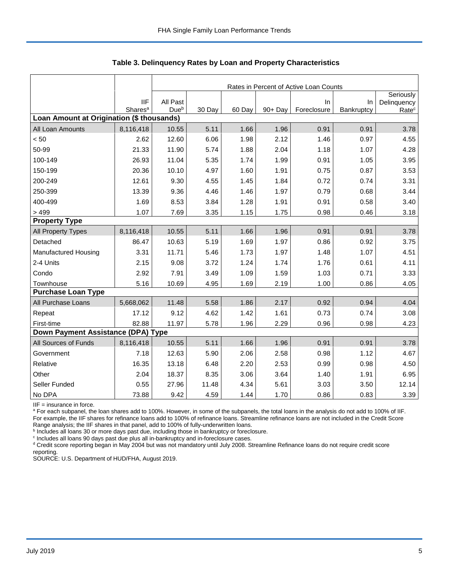|                                           |                                   | Rates in Percent of Active Loan Counts |        |        |         |                   |                  |                                               |  |  |  |
|-------------------------------------------|-----------------------------------|----------------------------------------|--------|--------|---------|-------------------|------------------|-----------------------------------------------|--|--|--|
|                                           | <b>IIF</b><br>Shares <sup>a</sup> | All Past<br>Dueb                       | 30 Day | 60 Day | 90+ Day | In<br>Foreclosure | In<br>Bankruptcy | Seriously<br>Delinquency<br>Rate <sup>c</sup> |  |  |  |
| Loan Amount at Origination (\$ thousands) |                                   |                                        |        |        |         |                   |                  |                                               |  |  |  |
| All Loan Amounts                          | 8,116,418                         | 10.55                                  | 5.11   | 1.66   | 1.96    | 0.91              | 0.91             | 3.78                                          |  |  |  |
| < 50                                      | 2.62                              | 12.60                                  | 6.06   | 1.98   | 2.12    | 1.46              | 0.97             | 4.55                                          |  |  |  |
| 50-99                                     | 21.33                             | 11.90                                  | 5.74   | 1.88   | 2.04    | 1.18              | 1.07             | 4.28                                          |  |  |  |
| 100-149                                   | 26.93                             | 11.04                                  | 5.35   | 1.74   | 1.99    | 0.91              | 1.05             | 3.95                                          |  |  |  |
| 150-199                                   | 20.36                             | 10.10                                  | 4.97   | 1.60   | 1.91    | 0.75              | 0.87             | 3.53                                          |  |  |  |
| 200-249                                   | 12.61                             | 9.30                                   | 4.55   | 1.45   | 1.84    | 0.72              | 0.74             | 3.31                                          |  |  |  |
| 250-399                                   | 13.39                             | 9.36                                   | 4.46   | 1.46   | 1.97    | 0.79              | 0.68             | 3.44                                          |  |  |  |
| 400-499                                   | 1.69                              | 8.53                                   | 3.84   | 1.28   | 1.91    | 0.91              | 0.58             | 3.40                                          |  |  |  |
| >499                                      | 1.07                              | 7.69                                   | 3.35   | 1.15   | 1.75    | 0.98              | 0.46             | 3.18                                          |  |  |  |
| <b>Property Type</b>                      |                                   |                                        |        |        |         |                   |                  |                                               |  |  |  |
| All Property Types                        | 8,116,418                         | 10.55                                  | 5.11   | 1.66   | 1.96    | 0.91              | 0.91             | 3.78                                          |  |  |  |
| Detached                                  | 86.47                             | 10.63                                  | 5.19   | 1.69   | 1.97    | 0.86              | 0.92             | 3.75                                          |  |  |  |
| Manufactured Housing                      | 3.31                              | 11.71                                  | 5.46   | 1.73   | 1.97    | 1.48              | 1.07             | 4.51                                          |  |  |  |
| 2-4 Units                                 | 2.15                              | 9.08                                   | 3.72   | 1.24   | 1.74    | 1.76              | 0.61             | 4.11                                          |  |  |  |
| Condo                                     | 2.92                              | 7.91                                   | 3.49   | 1.09   | 1.59    | 1.03              | 0.71             | 3.33                                          |  |  |  |
| Townhouse                                 | 5.16                              | 10.69                                  | 4.95   | 1.69   | 2.19    | 1.00              | 0.86             | 4.05                                          |  |  |  |
| <b>Purchase Loan Type</b>                 |                                   |                                        |        |        |         |                   |                  |                                               |  |  |  |
| All Purchase Loans                        | 5,668,062                         | 11.48                                  | 5.58   | 1.86   | 2.17    | 0.92              | 0.94             | 4.04                                          |  |  |  |
| Repeat                                    | 17.12                             | 9.12                                   | 4.62   | 1.42   | 1.61    | 0.73              | 0.74             | 3.08                                          |  |  |  |
| First-time                                | 82.88                             | 11.97                                  | 5.78   | 1.96   | 2.29    | 0.96              | 0.98             | 4.23                                          |  |  |  |
| Down Payment Assistance (DPA) Type        |                                   |                                        |        |        |         |                   |                  |                                               |  |  |  |
| All Sources of Funds                      | 8,116,418                         | 10.55                                  | 5.11   | 1.66   | 1.96    | 0.91              | 0.91             | 3.78                                          |  |  |  |
| Government                                | 7.18                              | 12.63                                  | 5.90   | 2.06   | 2.58    | 0.98              | 1.12             | 4.67                                          |  |  |  |
| Relative                                  | 16.35                             | 13.18                                  | 6.48   | 2.20   | 2.53    | 0.99              | 0.98             | 4.50                                          |  |  |  |
| Other                                     | 2.04                              | 18.37                                  | 8.35   | 3.06   | 3.64    | 1.40              | 1.91             | 6.95                                          |  |  |  |
| Seller Funded                             | 0.55                              | 27.96                                  | 11.48  | 4.34   | 5.61    | 3.03              | 3.50             | 12.14                                         |  |  |  |
| No DPA                                    | 73.88                             | 9.42                                   | 4.59   | 1.44   | 1.70    | 0.86              | 0.83             | 3.39                                          |  |  |  |

 **Table 3. Delinquency Rates by Loan and Property Characteristics**

IIF = insurance in force.

<sup>a</sup> For each subpanel, the loan shares add to 100%. However, in some of the subpanels, the total loans in the analysis do not add to 100% of IIF. For example, the IIF shares for refinance loans add to 100% of refinance loans. Streamline refinance loans are not included in the Credit Score

Range analysis; the IIF shares in that panel, add to 100% of fully-underwritten loans.<br><sup>b</sup> Includes all loans 30 or more days past due, including those in bankruptcy or foreclosure.

<sup>c</sup> Includes all loans 90 days past due plus all in-bankruptcy and in-foreclosure cases.

<sup>d</sup> Credit score reporting began in May 2004 but was not mandatory until July 2008. Streamline Refinance loans do not require credit score reporting.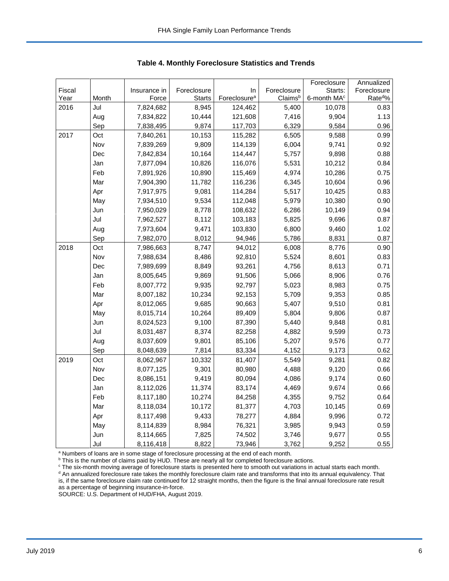|        |       |              |               |                          |             | Foreclosure             | Annualized         |
|--------|-------|--------------|---------------|--------------------------|-------------|-------------------------|--------------------|
| Fiscal |       | Insurance in | Foreclosure   | In                       | Foreclosure | Starts:                 | Foreclosure        |
| Year   | Month | Force        | <b>Starts</b> | Foreclosure <sup>a</sup> | Claimsb     | 6-month MA <sup>c</sup> | Rate <sup>d%</sup> |
| 2016   | Jul   | 7,824,682    | 8,945         | 124,462                  | 5,400       | 10,078                  | 0.83               |
|        | Aug   | 7,834,822    | 10,444        | 121,608                  | 7,416       | 9,904                   | 1.13               |
|        | Sep   | 7,838,495    | 9,874         | 117,703                  | 6,329       | 9,584                   | 0.96               |
| 2017   | Oct   | 7,840,261    | 10,153        | 115,282                  | 6,505       | 9,588                   | 0.99               |
|        | Nov   | 7,839,269    | 9,809         | 114,139                  | 6,004       | 9,741                   | 0.92               |
|        | Dec   | 7,842,834    | 10,164        | 114,447                  | 5,757       | 9,898                   | 0.88               |
|        | Jan   | 7,877,094    | 10,826        | 116,076                  | 5,531       | 10,212                  | 0.84               |
|        | Feb   | 7,891,926    | 10,890        | 115,469                  | 4,974       | 10,286                  | 0.75               |
|        | Mar   | 7,904,390    | 11,782        | 116,236                  | 6,345       | 10,604                  | 0.96               |
|        | Apr   | 7,917,975    | 9,081         | 114,284                  | 5,517       | 10,425                  | 0.83               |
|        | May   | 7,934,510    | 9,534         | 112,048                  | 5,979       | 10,380                  | 0.90               |
|        | Jun   | 7,950,029    | 8,778         | 108,632                  | 6,286       | 10,149                  | 0.94               |
|        | Jul   | 7,962,527    | 8,112         | 103,183                  | 5,825       | 9,696                   | 0.87               |
|        | Aug   | 7,973,604    | 9,471         | 103,830                  | 6,800       | 9,460                   | 1.02               |
|        | Sep   | 7,982,070    | 8,012         | 94,946                   | 5,786       | 8,831                   | 0.87               |
| 2018   | Oct   | 7,986,663    | 8,747         | 94,012                   | 6,008       | 8,776                   | 0.90               |
|        | Nov   | 7,988,634    | 8,486         | 92,810                   | 5,524       | 8,601                   | 0.83               |
|        | Dec   | 7,989,699    | 8,849         | 93,261                   | 4,756       | 8,613                   | 0.71               |
|        | Jan   | 8,005,645    | 9,869         | 91,506                   | 5,066       | 8,906                   | 0.76               |
|        | Feb   | 8,007,772    | 9,935         | 92,797                   | 5,023       | 8,983                   | 0.75               |
|        | Mar   | 8,007,182    | 10,234        | 92,153                   | 5,709       | 9,353                   | 0.85               |
|        | Apr   | 8,012,065    | 9,685         | 90,663                   | 5,407       | 9,510                   | 0.81               |
|        | May   | 8,015,714    | 10,264        | 89,409                   | 5,804       | 9,806                   | 0.87               |
|        | Jun   | 8,024,523    | 9,100         | 87,390                   | 5,440       | 9,848                   | 0.81               |
|        | Jul   | 8,031,487    | 8,374         | 82,258                   | 4,882       | 9,599                   | 0.73               |
|        | Aug   | 8,037,609    | 9,801         | 85,106                   | 5,207       | 9,576                   | 0.77               |
|        | Sep   | 8,048,639    | 7,814         | 83,334                   | 4,152       | 9,173                   | 0.62               |
| 2019   | Oct   | 8,062,967    | 10,332        | 81,407                   | 5,549       | 9,281                   | 0.82               |
|        | Nov   | 8,077,125    | 9,301         | 80,980                   | 4,488       | 9,120                   | 0.66               |
|        | Dec   | 8,086,151    | 9,419         | 80,094                   | 4,086       | 9,174                   | 0.60               |
|        | Jan   | 8,112,026    | 11,374        | 83,174                   | 4,469       | 9,674                   | 0.66               |
|        | Feb   | 8,117,180    | 10,274        | 84,258                   | 4,355       | 9,752                   | 0.64               |
|        | Mar   | 8,118,034    | 10,172        | 81,377                   | 4,703       | 10,145                  | 0.69               |
|        | Apr   | 8,117,498    | 9,433         | 78,277                   | 4,884       | 9,996                   | 0.72               |
|        | May   | 8,114,839    | 8,984         | 76,321                   | 3,985       | 9,943                   | 0.59               |
|        | Jun   | 8,114,665    | 7,825         | 74,502                   | 3,746       | 9,677                   | 0.55               |
|        | Jul   | 8,116,418    | 8,822         | 73,946                   | 3,762       | 9,252                   | 0.55               |

 **Table 4. Monthly Foreclosure Statistics and Trends**

<sup>a</sup> Numbers of loans are in some stage of foreclosure processing at the end of each month.

<sup>b</sup> This is the number of claims paid by HUD. These are nearly all for completed foreclosure actions.

° The six-month moving average of foreclosure starts is presented here to smooth out variations in actual starts each month.<br><sup>d</sup> An annualized foreclosure rate takes the monthly foreclosure claim rate and transforms that i is, if the same foreclosure claim rate continued for 12 straight months, then the figure is the final annual foreclosure rate result as a percentage of beginning insurance-in-force.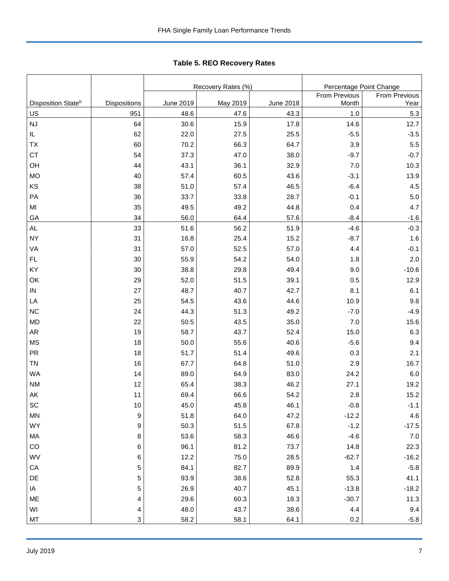|                                      |                     |                          | Recovery Rates (%) |                          | Percentage Point Change |                   |  |  |
|--------------------------------------|---------------------|--------------------------|--------------------|--------------------------|-------------------------|-------------------|--|--|
|                                      |                     |                          |                    |                          | <b>From Previous</b>    | From Previous     |  |  |
| Disposition State <sup>b</sup><br>US | Dispositions<br>951 | <b>June 2019</b><br>48.6 | May 2019<br>47.6   | <b>June 2018</b><br>43.3 | Month<br>1.0            | Year<br>5.3       |  |  |
| <b>NJ</b>                            | 64                  | 30.6                     | 15.9               | 17.8                     | 14.6                    | 12.7              |  |  |
| IL                                   | 62                  | 22.0                     | 27.5               | 25.5                     | $-5.5$                  | $-3.5$            |  |  |
| TX                                   | 60                  | 70.2                     | 66.3               | 64.7                     | 3.9                     | 5.5               |  |  |
| <b>CT</b>                            | 54                  | 37.3                     | 47.0               | 38.0                     | $-9.7$                  | $-0.7$            |  |  |
| OH                                   | 44                  | 43.1                     | 36.1               | 32.9                     | 7.0                     | 10.3              |  |  |
| <b>MO</b>                            | 40                  | 57.4                     | 60.5               | 43.6                     | $-3.1$                  | 13.9              |  |  |
| KS                                   | 38                  | 51.0                     | 57.4               | 46.5                     | $-6.4$                  | 4.5               |  |  |
| PA                                   | 36                  | 33.7                     | 33.8               | 28.7                     | $-0.1$                  | 5.0               |  |  |
| MI                                   | 35                  | 49.5                     | 49.2               | 44.8                     | 0.4                     | 4.7               |  |  |
| GA                                   | 34                  | 56.0                     | 64.4               | 57.6                     | $-8.4$                  | $-1.6$            |  |  |
| AL                                   | 33                  | 51.6                     | 56.2               | 51.9                     | $-4.6$                  | $-0.3$            |  |  |
| <b>NY</b>                            | 31                  | 16.8                     | 25.4               | 15.2                     | $-8.7$                  | 1.6               |  |  |
| VA                                   | 31                  | 57.0                     | 52.5               | 57.0                     | 4.4                     | $-0.1$            |  |  |
| <b>FL</b>                            | 30                  | 55.9                     | 54.2               | 54.0                     | 1.8                     | 2.0               |  |  |
| KY                                   | 30                  | 38.8                     | 29.8               | 49.4                     | 9.0                     | $-10.6$           |  |  |
| OK                                   | 29                  | 52.0                     | 51.5               | 39.1                     | 0.5                     | 12.9              |  |  |
| ${\sf IN}$                           | 27                  | 48.7                     | 40.7               | 42.7                     | 8.1                     | 6.1               |  |  |
| LA                                   | 25                  | 54.5                     | 43.6               | 44.6                     | 10.9                    | 9.8               |  |  |
| <b>NC</b>                            | 24                  | 44.3                     | 51.3               | 49.2                     | $-7.0$                  | $-4.9$            |  |  |
| <b>MD</b>                            | 22                  | 50.5                     | 43.5               | 35.0                     | 7.0                     | 15.6              |  |  |
| AR                                   | 19                  | 58.7                     | 43.7               | 52.4                     | 15.0                    | 6.3               |  |  |
| <b>MS</b>                            | 18                  | 50.0                     | 55.6               | 40.6                     | $-5.6$                  | 9.4               |  |  |
| PR                                   | 18                  | 51.7                     | 51.4               | 49.6                     | 0.3                     | 2.1               |  |  |
| <b>TN</b>                            | 16                  | 67.7                     | 64.8               | 51.0                     | 2.9                     | 16.7              |  |  |
| <b>WA</b>                            | 14                  | 89.0                     | 64.9               | 83.0                     | 24.2                    | 6.0               |  |  |
| <b>NM</b>                            | 12                  | 65.4                     | 38.3               | 46.2                     | 27.1                    | 19.2              |  |  |
| AK                                   | 11                  | 69.4                     | 66.6               | 54.2                     | 2.8                     | 15.2              |  |  |
| SC                                   |                     |                          |                    |                          |                         |                   |  |  |
| MN                                   | $10\,$<br>9         | 45.0<br>51.8             | 45.8<br>64.0       | 46.1<br>47.2             | $-0.8$<br>$-12.2$       | $-1.1$<br>4.6     |  |  |
| WY                                   |                     | 50.3                     | 51.5               | 67.8                     | $-1.2$                  |                   |  |  |
| MA                                   | 9                   | 53.6                     | 58.3               | 46.6                     | $-4.6$                  | $-17.5$<br>7.0    |  |  |
| CO                                   | 8                   | 96.1                     | 81.2               | 73.7                     | 14.8                    |                   |  |  |
|                                      | 6                   |                          |                    |                          |                         | 22.3              |  |  |
| WV<br>${\sf CA}$                     | 6<br>5              | 12.2<br>84.1             | 75.0<br>82.7       | 28.5<br>89.9             | $-62.7$<br>1.4          | $-16.2$<br>$-5.8$ |  |  |
|                                      |                     |                          |                    |                          |                         |                   |  |  |
| DE                                   | 5<br>5              | 93.9<br>26.9             | 38.6<br>40.7       | 52.8<br>45.1             | 55.3<br>$-13.8$         | 41.1<br>$-18.2$   |  |  |
| IA                                   |                     |                          |                    |                          |                         |                   |  |  |
| ME<br>WI                             | 4                   | 29.6                     | 60.3<br>43.7       | 18.3<br>38.6             | $-30.7$<br>4.4          | 11.3              |  |  |
| MT                                   | 4<br>3              | 48.0<br>58.2             | 58.1               | 64.1                     | 0.2                     | 9.4<br>$-5.8$     |  |  |

Tabl e 5. REO R ecover y R ates **Table 5. REO Recovery Rates**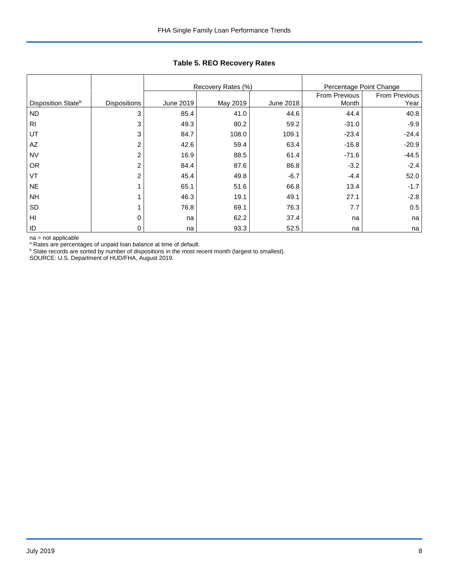|                                |                     |           | Recovery Rates (%) | Percentage Point Change |               |               |
|--------------------------------|---------------------|-----------|--------------------|-------------------------|---------------|---------------|
|                                |                     |           |                    |                         | From Previous | From Previous |
| Disposition State <sup>b</sup> | <b>Dispositions</b> | June 2019 | May 2019           | June 2018               | Month         | Year          |
| <b>ND</b>                      | 3                   | 85.4      | 41.0               | 44.6                    | 44.4          | 40.8          |
| R <sub>l</sub>                 | 3                   | 49.3      | 80.2               | 59.2                    | $-31.0$       | $-9.9$        |
| UT                             | 3                   | 84.7      | 108.0              | 109.1                   | $-23.4$       | $-24.4$       |
| AZ                             | $\overline{2}$      | 42.6      | 59.4               | 63.4                    | $-16.8$       | $-20.9$       |
| <b>NV</b>                      | $\overline{2}$      | 16.9      | 88.5               | 61.4                    | $-71.6$       | $-44.5$       |
| <b>OR</b>                      | $\overline{2}$      | 84.4      | 87.6               | 86.8                    | $-3.2$        | $-2.4$        |
| VT                             | $\overline{2}$      | 45.4      | 49.8               | $-6.7$                  | $-4.4$        | 52.0          |
| <b>NE</b>                      |                     | 65.1      | 51.6               | 66.8                    | 13.4          | $-1.7$        |
| <b>NH</b>                      |                     | 46.3      | 19.1               | 49.1                    | 27.1          | $-2.8$        |
| <b>SD</b>                      |                     | 76.8      | 69.1               | 76.3                    | 7.7           | 0.5           |
| HI                             | $\Omega$            | na        | 62.2               | 37.4                    | na            | na            |
| ID                             | 0                   | na        | 93.3               | 52.5                    | na            | na            |

## **Table 5. REO Recovery Rates**

na = not applicable

<sup>a</sup> Rates are percentages of unpaid loan balance at time of default.<br><sup>b</sup> State records are sorted by number of dispositions in the most recent month (largest to smallest).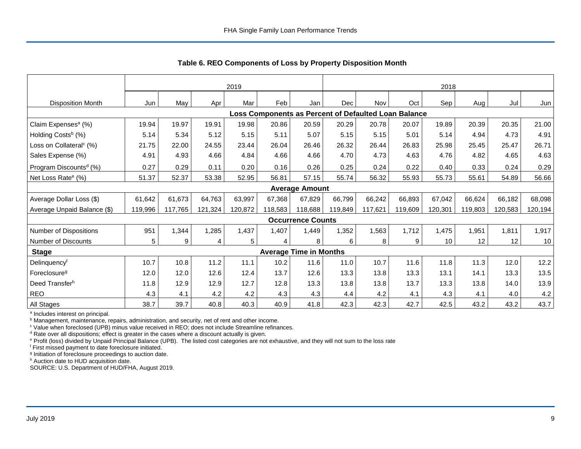|                                     | 2019    |         |         |         |                                                      | 2018                          |         |         |         |         |         |         |         |
|-------------------------------------|---------|---------|---------|---------|------------------------------------------------------|-------------------------------|---------|---------|---------|---------|---------|---------|---------|
| <b>Disposition Month</b>            | Jun     | May     | Apr     | Mar     | Feb                                                  | Jan                           | Dec     | Nov     | Oct     | Sep     | Aug     | Jul     | Jun     |
|                                     |         |         |         |         | Loss Components as Percent of Defaulted Loan Balance |                               |         |         |         |         |         |         |         |
| Claim Expenses <sup>a</sup> (%)     | 19.94   | 19.97   | 19.91   | 19.98   | 20.86                                                | 20.59                         | 20.29   | 20.78   | 20.07   | 19.89   | 20.39   | 20.35   | 21.00   |
| Holding Costs <sup>b</sup> (%)      | 5.14    | 5.34    | 5.12    | 5.15    | 5.11                                                 | 5.07                          | 5.15    | 5.15    | 5.01    | 5.14    | 4.94    | 4.73    | 4.91    |
| Loss on Collateral <sup>c</sup> (%) | 21.75   | 22.00   | 24.55   | 23.44   | 26.04                                                | 26.46                         | 26.32   | 26.44   | 26.83   | 25.98   | 25.45   | 25.47   | 26.71   |
| Sales Expense (%)                   | 4.91    | 4.93    | 4.66    | 4.84    | 4.66                                                 | 4.66                          | 4.70    | 4.73    | 4.63    | 4.76    | 4.82    | 4.65    | 4.63    |
| Program Discounts <sup>d</sup> (%)  | 0.27    | 0.29    | 0.11    | 0.20    | 0.16                                                 | 0.26                          | 0.25    | 0.24    | 0.22    | 0.40    | 0.33    | 0.24    | 0.29    |
| Net Loss Rate <sup>e</sup> (%)      | 51.37   | 52.37   | 53.38   | 52.95   | 56.81                                                | 57.15                         | 55.74   | 56.32   | 55.93   | 55.73   | 55.61   | 54.89   | 56.66   |
|                                     |         |         |         |         |                                                      | <b>Average Amount</b>         |         |         |         |         |         |         |         |
| Average Dollar Loss (\$)            | 61,642  | 61,673  | 64,763  | 63,997  | 67,368                                               | 67,829                        | 66,799  | 66,242  | 66,893  | 67,042  | 66,624  | 66,182  | 68,098  |
| Average Unpaid Balance (\$)         | 119,996 | 117,765 | 121,324 | 120,872 | 118,583                                              | 118,688                       | 119,849 | 117,621 | 119,609 | 120,301 | 119,803 | 120,583 | 120,194 |
|                                     |         |         |         |         |                                                      | <b>Occurrence Counts</b>      |         |         |         |         |         |         |         |
| Number of Dispositions              | 951     | 1,344   | 1,285   | 1,437   | 1,407                                                | 1,449                         | 1,352   | 1,563   | 1,712   | 1,475   | 1,951   | 1,811   | 1,917   |
| Number of Discounts                 | 5       | 9       | 4       | 5       | 4                                                    | 8                             | 6       | 8       | 9       | 10      | 12      | 12      | 10      |
| <b>Stage</b>                        |         |         |         |         |                                                      | <b>Average Time in Months</b> |         |         |         |         |         |         |         |
| Delinquency <sup>f</sup>            | 10.7    | 10.8    | 11.2    | 11.1    | 10.2                                                 | 11.6                          | 11.0    | 10.7    | 11.6    | 11.8    | 11.3    | 12.0    | 12.2    |
| Foreclosure <sup>g</sup>            | 12.0    | 12.0    | 12.6    | 12.4    | 13.7                                                 | 12.6                          | 13.3    | 13.8    | 13.3    | 13.1    | 14.1    | 13.3    | 13.5    |
| Deed Transferh                      | 11.8    | 12.9    | 12.9    | 12.7    | 12.8                                                 | 13.3                          | 13.8    | 13.8    | 13.7    | 13.3    | 13.8    | 14.0    | 13.9    |
| <b>REO</b>                          | 4.3     | 4.1     | 4.2     | 4.2     | 4.3                                                  | 4.3                           | 4.4     | 4.2     | 4.1     | 4.3     | 4.1     | 4.0     | 4.2     |
| All Stages                          | 38.7    | 39.7    | 40.8    | 40.3    | 40.9                                                 | 41.8                          | 42.3    | 42.3    | 42.7    | 42.5    | 43.2    | 43.2    | 43.7    |

 **Table 6. REO Components of Loss by Property Disposition Month**

<sup>a</sup> Includes interest on principal.

<sup>b</sup> Management, maintenance, repairs, administration, and security, net of rent and other income.

c Value when foreclosed (UPB) minus value received in REO; does not include Streamline refinances.

<sup>d</sup> Rate over all dispositions; effect is greater in the cases where a discount actually is given.

e Profit (loss) divided by Unpaid Principal Balance (UPB). The listed cost categories are not exhaustive, and they will not sum to the loss rate

f First missed payment to date foreclosure initiated.

<sup>g</sup> Initiation of foreclosure proceedings to auction date.

h Auction date to HUD acquisition date.